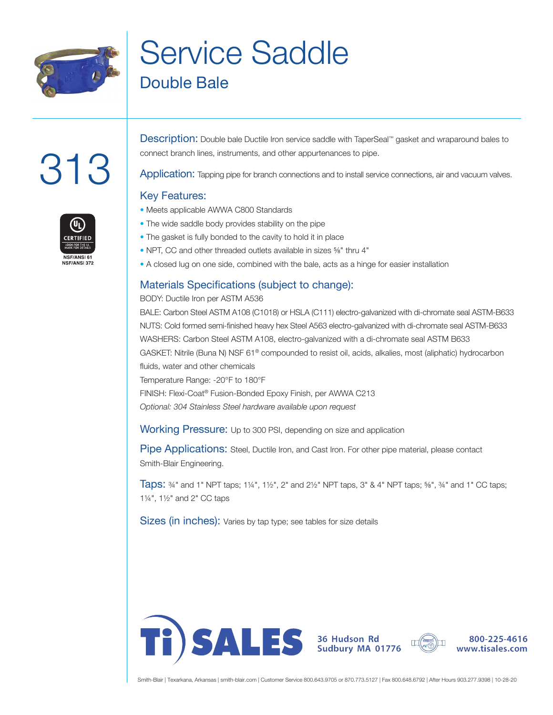

# Service Saddle Double Bale

# 313



Description: Double bale Ductile Iron service saddle with TaperSeal™ gasket and wraparound bales to connect branch lines, instruments, and other appurtenances to pipe.

Application: Tapping pipe for branch connections and to install service connections, air and vacuum valves.

#### Key Features:

- Meets applicable AWWA C800 Standards
- The wide saddle body provides stability on the pipe
- The gasket is fully bonded to the cavity to hold it in place
- NPT, CC and other threaded outlets available in sizes <sup>5</sup>%" thru 4"
- A closed lug on one side, combined with the bale, acts as a hinge for easier installation

#### Materials Specifications (subject to change):

#### BODY: Ductile Iron per ASTM A536

BALE: Carbon Steel ASTM A108 (C1018) or HSLA (C111) electro-galvanized with di-chromate seal ASTM-B633 NUTS: Cold formed semi-finished heavy hex Steel A563 electro-galvanized with di-chromate seal ASTM-B633 WASHERS: Carbon Steel ASTM A108, electro-galvanized with a di-chromate seal ASTM B633 GASKET: Nitrile (Buna N) NSF 61® compounded to resist oil, acids, alkalies, most (aliphatic) hydrocarbon fluids, water and other chemicals Temperature Range: -20°F to 180°F FINISH: Flexi-Coat® Fusion-Bonded Epoxy Finish, per AWWA C213 *Optional: 304 Stainless Steel hardware available upon request*

Working Pressure: Up to 300 PSI, depending on size and application

Pipe Applications: Steel, Ductile Iron, and Cast Iron. For other pipe material, please contact Smith-Blair Engineering.

**Taps:**  $\frac{3}{4}$ " and 1" NPT taps; 1¼", 1½", 2" and 2½" NPT taps, 3" & 4" NPT taps;  $\frac{5}{8}$ ",  $\frac{3}{4}$ " and 1" CC taps; 1¼", 1½" and 2" CC taps

Sizes (in inches): Varies by tap type; see tables for size details





800-225-4616 www.tisales.com

Smith-Blair | Texarkana, Arkansas | smith-blair.com | Customer Service 800.643.9705 or 870.773.5127 | Fax 800.648.6792 | After Hours 903.277.9398 | 10-28-20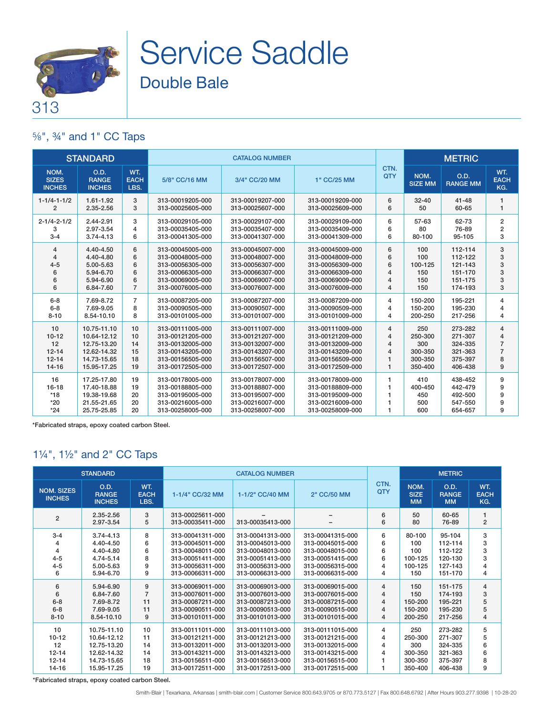

# Service Saddle Double Bale

## ⅝", ¾" and 1" CC Taps

|                                                              | <b>STANDARD</b>                                                                        |                                  |                                                                                                                      | <b>CATALOG NUMBER</b>                                                                                                |                                                                                                                      |                                       |                                                        | <b>METRIC</b>                                                  |                                                 |
|--------------------------------------------------------------|----------------------------------------------------------------------------------------|----------------------------------|----------------------------------------------------------------------------------------------------------------------|----------------------------------------------------------------------------------------------------------------------|----------------------------------------------------------------------------------------------------------------------|---------------------------------------|--------------------------------------------------------|----------------------------------------------------------------|-------------------------------------------------|
| NOM.<br><b>SIZES</b><br><b>INCHES</b>                        | O.D.<br><b>RANGE</b><br><b>INCHES</b>                                                  | WT.<br><b>EACH</b><br>LBS.       | 5/8" CC/16 MM                                                                                                        | 3/4" CC/20 MM                                                                                                        | 1" CC/25 MM                                                                                                          | CTN.<br>QTY                           | NOM.<br><b>SIZE MM</b>                                 | O.D.<br><b>RANGE MM</b>                                        | WT.<br><b>EACH</b><br>KG.                       |
| $1 - 1/4 - 1 - 1/2$                                          | 1.61-1.92                                                                              | 3                                | 313-00019205-000                                                                                                     | 313-00019207-000                                                                                                     | 313-00019209-000                                                                                                     | 6                                     | $32 - 40$                                              | $41 - 48$                                                      | 1                                               |
| $\overline{2}$                                               | 2.35-2.56                                                                              | 3                                | 313-00025605-000                                                                                                     | 313-00025607-000                                                                                                     | 313-00025609-000                                                                                                     | 6                                     | 50                                                     | 60-65                                                          | 1                                               |
| $2 - 1/4 - 2 - 1/2$                                          | 2.44-2.91                                                                              | 3                                | 313-00029105-000                                                                                                     | 313-00029107-000                                                                                                     | 313-00029109-000                                                                                                     | 6                                     | 57-63                                                  | 62-73                                                          | 2                                               |
| 3                                                            | 2.97-3.54                                                                              | 4                                | 313-00035405-000                                                                                                     | 313-00035407-000                                                                                                     | 313-00035409-000                                                                                                     | 6                                     | 80                                                     | 76-89                                                          | 2                                               |
| $3 - 4$                                                      | $3.74 - 4.13$                                                                          | 6                                | 313-00041305-000                                                                                                     | 313-00041307-000                                                                                                     | 313-00041309-000                                                                                                     | 6                                     | 80-100                                                 | 95-105                                                         | 3                                               |
| 4                                                            | 4.40-4.50                                                                              | 6                                | 313-00045005-000                                                                                                     | 313-00045007-000                                                                                                     | 313-00045009-000                                                                                                     | 6                                     | 100                                                    | 112-114                                                        | 3                                               |
| 4                                                            | 4.40-4.80                                                                              | 6                                | 313-00048005-000                                                                                                     | 313-00048007-000                                                                                                     | 313-00048009-000                                                                                                     | 6                                     | 100                                                    | 112-122                                                        | 3                                               |
| $4 - 5$                                                      | 5.00-5.63                                                                              | 6                                | 313-00056305-000                                                                                                     | 313-00056307-000                                                                                                     | 313-00056309-000                                                                                                     | 6                                     | 100-125                                                | 121-143                                                        | 3                                               |
| 6                                                            | 5.94-6.70                                                                              | 6                                | 313-00066305-000                                                                                                     | 313-00066307-000                                                                                                     | 313-00066309-000                                                                                                     | 4                                     | 150                                                    | 151-170                                                        | 3                                               |
| 6                                                            | 5.94-6.90                                                                              | 6                                | 313-00069005-000                                                                                                     | 313-00069007-000                                                                                                     | 313-00069009-000                                                                                                     | 4                                     | 150                                                    | 151-175                                                        | 3                                               |
| 6                                                            | 6.84-7.60                                                                              | $\overline{7}$                   | 313-00076005-000                                                                                                     | 313-00076007-000                                                                                                     | 313-00076009-000                                                                                                     | 4                                     | 150                                                    | 174-193                                                        | 3                                               |
| $6 - 8$                                                      | 7.69-8.72                                                                              | $\overline{7}$                   | 313-00087205-000                                                                                                     | 313-00087207-000                                                                                                     | 313-00087209-000                                                                                                     | 4                                     | 150-200                                                | 195-221                                                        | 4                                               |
| $6 - 8$                                                      | 7.69-9.05                                                                              | 8                                | 313-00090505-000                                                                                                     | 313-00090507-000                                                                                                     | 313-00090509-000                                                                                                     | 4                                     | 150-200                                                | 195-230                                                        | 4                                               |
| $8 - 10$                                                     | 8.54-10.10                                                                             | 8                                | 313-00101005-000                                                                                                     | 313-00101007-000                                                                                                     | 313-00101009-000                                                                                                     | 4                                     | 200-250                                                | 217-256                                                        | 4                                               |
| 10<br>$10 - 12$<br>12<br>$12 - 14$<br>$12 - 14$<br>$14 - 16$ | 10.75-11.10<br>10.64-12.12<br>12.75-13.20<br>12.62-14.32<br>14.73-15.65<br>15.95-17.25 | 10<br>10<br>14<br>15<br>18<br>19 | 313-00111005-000<br>313-00121205-000<br>313-00132005-000<br>313-00143205-000<br>313-00156505-000<br>313-00172505-000 | 313-00111007-000<br>313-00121207-000<br>313-00132007-000<br>313-00143207-000<br>313-00156507-000<br>313-00172507-000 | 313-00111009-000<br>313-00121209-000<br>313-00132009-000<br>313-00143209-000<br>313-00156509-000<br>313-00172509-000 | 4<br>4<br>4<br>4<br>1<br>$\mathbf{1}$ | 250<br>250-300<br>300<br>300-350<br>300-350<br>350-400 | 273-282<br>271-307<br>324-335<br>321-363<br>375-397<br>406-438 | 4<br>$\overline{7}$<br>$\overline{7}$<br>8<br>9 |
| 16                                                           | 17.25-17.80                                                                            | 19                               | 313-00178005-000                                                                                                     | 313-00178007-000                                                                                                     | 313-00178009-000                                                                                                     | 1.                                    | 410                                                    | 438-452                                                        | 9                                               |
| $16 - 18$                                                    | 17.40-18.88                                                                            | 19                               | 313-00188805-000                                                                                                     | 313-00188807-000                                                                                                     | 313-00188809-000                                                                                                     | 1                                     | 400-450                                                | 442-479                                                        | 9                                               |
| $*18$                                                        | 19.38-19.68                                                                            | 20                               | 313-00195005-000                                                                                                     | 313-00195007-000                                                                                                     | 313-00195009-000                                                                                                     | 1                                     | 450                                                    | 492-500                                                        | 9                                               |
| $*20$                                                        | 21.55-21.65                                                                            | 20                               | 313-00216005-000                                                                                                     | 313-00216007-000                                                                                                     | 313-00216009-000                                                                                                     | 1                                     | 500                                                    | 547-550                                                        | 9                                               |
| $*24$                                                        | 25.75-25.85                                                                            | 20                               | 313-00258005-000                                                                                                     | 313-00258007-000                                                                                                     | 313-00258009-000                                                                                                     | 1                                     | 600                                                    | 654-657                                                        | 9                                               |

\*Fabricated straps, epoxy coated carbon Steel.

## 1¼", 1½" and 2" CC Taps

|                                                          | <b>STANDARD</b>                                                                        |                                      |                                                                                                                      | <b>CATALOG NUMBER</b>                                                                                                |                                                                                                                      |                            |                                                        | <b>METRIC</b>                                                  |                                    |
|----------------------------------------------------------|----------------------------------------------------------------------------------------|--------------------------------------|----------------------------------------------------------------------------------------------------------------------|----------------------------------------------------------------------------------------------------------------------|----------------------------------------------------------------------------------------------------------------------|----------------------------|--------------------------------------------------------|----------------------------------------------------------------|------------------------------------|
| <b>NOM. SIZES</b><br><b>INCHES</b>                       | <b>O.D.</b><br><b>RANGE</b><br><b>INCHES</b>                                           | WT.<br><b>EACH</b><br>LBS.           | 1-1/4" CC/32 MM                                                                                                      | 1-1/2" CC/40 MM                                                                                                      | 2" CC/50 MM                                                                                                          | CTN.<br>QTY                | NOM.<br><b>SIZE</b><br><b>MM</b>                       | O.D.<br><b>RANGE</b><br><b>MM</b>                              | WT.<br><b>EACH</b><br>KG.          |
| $\overline{2}$                                           | 2.35-2.56<br>2.97-3.54                                                                 | 3<br>5                               | 313-00025611-000<br>313-00035411-000                                                                                 | 313-00035413-000                                                                                                     |                                                                                                                      | 6<br>6                     | 50<br>80                                               | 60-65<br>76-89                                                 | 1<br>$\overline{2}$                |
| $3 - 4$<br>4<br>$4 - 5$<br>$4 - 5$<br>6                  | $3.74 - 4.13$<br>4.40-4.50<br>4.40-4.80<br>4.74-5.14<br>5.00-5.63<br>5.94-6.70         | 8<br>6<br>6<br>8<br>9<br>9           | 313-00041311-000<br>313-00045011-000<br>313-00048011-000<br>313-00051411-000<br>313-00056311-000<br>313-00066311-000 | 313-00041313-000<br>313-00045013-000<br>313-00048013-000<br>313-00051413-000<br>313-00056313-000<br>313-00066313-000 | 313-00041315-000<br>313-00045015-000<br>313-00048015-000<br>313-00051415-000<br>313-00056315-000<br>313-00066315-000 | 6<br>6<br>6<br>6<br>4<br>4 | 80-100<br>100<br>100<br>100-125<br>100-125<br>150      | 95-104<br>112-114<br>112-122<br>120-130<br>127-143<br>151-170  | 3<br>3<br>3<br>3<br>4<br>4         |
| 6<br>6<br>$6 - 8$<br>$6 - 8$<br>$8 - 10$                 | 5.94-6.90<br>6.84-7.60<br>7.69-8.72<br>7.69-9.05<br>8.54-10.10                         | 9<br>$\overline{7}$<br>11<br>11<br>9 | 313-00069011-000<br>313-00076011-000<br>313-00087211-000<br>313-00090511-000<br>313-00101011-000                     | 313-00069013-000<br>313-00076013-000<br>313-00087213-000<br>313-00090513-000<br>313-00101013-000                     | 313-00069015-000<br>313-00076015-000<br>313-00087215-000<br>313-00090515-000<br>313-00101015-000                     | 4<br>4<br>4<br>4<br>4      | 150<br>150<br>150-200<br>150-200<br>200-250            | 151-175<br>174-193<br>195-221<br>195-230<br>217-256            | 4<br>3<br>5<br>5<br>$\overline{4}$ |
| 10<br>$10 - 12$<br>12<br>$12 - 14$<br>$12 - 14$<br>14-16 | 10.75-11.10<br>10.64-12.12<br>12.75-13.20<br>12.62-14.32<br>14.73-15.65<br>15.95-17.25 | 10<br>11<br>14<br>14<br>18<br>19     | 313-00111011-000<br>313-00121211-000<br>313-00132011-000<br>313-00143211-000<br>313-00156511-000<br>313-00172511-000 | 313-00111013-000<br>313-00121213-000<br>313-00132013-000<br>313-00143213-000<br>313-00156513-000<br>313-00172513-000 | 313-00111015-000<br>313-00121215-000<br>313-00132015-000<br>313-00143215-000<br>313-00156515-000<br>313-00172515-000 | 4<br>4<br>4<br>4           | 250<br>250-300<br>300<br>300-350<br>300-350<br>350-400 | 273-282<br>271-307<br>324-335<br>321-363<br>375-397<br>406-438 | 5<br>5<br>6<br>6<br>8<br>9         |

\*Fabricated straps, epoxy coated carbon Steel.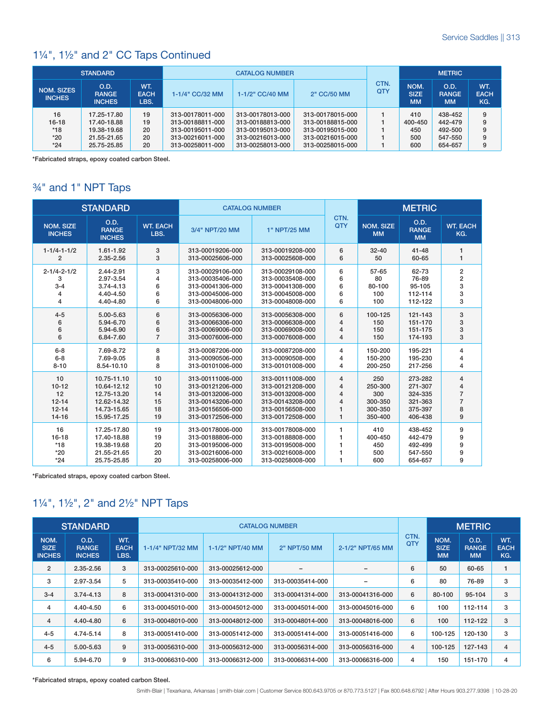#### 1¼", 1½" and 2" CC Taps Continued

|                             | <b>STANDARD</b>                       |                            |                  | <b>CATALOG NUMBER</b> |                  |                    |                                  | <b>METRIC</b>                     |                           |
|-----------------------------|---------------------------------------|----------------------------|------------------|-----------------------|------------------|--------------------|----------------------------------|-----------------------------------|---------------------------|
| NOM. SIZES<br><b>INCHES</b> | O.D.<br><b>RANGE</b><br><b>INCHES</b> | WT.<br><b>EACH</b><br>LBS. | 1-1/4" CC/32 MM  | 1-1/2" CC/40 MM       | 2" CC/50 MM      | CTN.<br><b>QTY</b> | NOM.<br><b>SIZE</b><br><b>MM</b> | O.D.<br><b>RANGE</b><br><b>MM</b> | WT.<br><b>EACH</b><br>KG. |
| 16                          | 17.25-17.80                           | 19                         | 313-00178011-000 | 313-00178013-000      | 313-00178015-000 |                    | 410                              | 438-452                           | 9                         |
|                             |                                       |                            |                  |                       |                  |                    |                                  |                                   |                           |
| $16-18$                     | 17.40-18.88                           | 19                         | 313-00188811-000 | 313-00188813-000      | 313-00188815-000 |                    | 400-450                          | 442-479                           | 9                         |
| $*18$                       | 19.38-19.68                           | 20                         | 313-00195011-000 | 313-00195013-000      | 313-00195015-000 |                    | 450                              | 492-500                           | 9                         |
| $*20$                       | 21.55-21.65                           | 20                         | 313-00216011-000 | 313-00216013-000      | 313-00216015-000 |                    | 500                              | 547-550                           | 9                         |
| $*24$                       | 25.75-25.85                           | 20                         | 313-00258011-000 | 313-00258013-000      | 313-00258015-000 |                    | 600                              | 654-657                           | 9                         |

\*Fabricated straps, epoxy coated carbon Steel.

## ¾" and 1" NPT Taps

|                                            | <b>STANDARD</b>                                                         |                            |                                                                                                  | <b>CATALOG NUMBER</b>                                                                            |                    |                                     | <b>METRIC</b>                                       |                        |
|--------------------------------------------|-------------------------------------------------------------------------|----------------------------|--------------------------------------------------------------------------------------------------|--------------------------------------------------------------------------------------------------|--------------------|-------------------------------------|-----------------------------------------------------|------------------------|
| <b>NOM. SIZE</b><br><b>INCHES</b>          | O.D.<br><b>RANGE</b><br><b>INCHES</b>                                   | <b>WT. EACH</b><br>LBS.    | 3/4" NPT/20 MM                                                                                   | 1" NPT/25 MM                                                                                     | CTN.<br><b>QTY</b> | <b>NOM. SIZE</b><br><b>MM</b>       | O.D.<br><b>RANGE</b><br><b>MM</b>                   | <b>WT. EACH</b><br>KG. |
| $1 - 1/4 - 1 - 1/2$                        | 1.61-1.92                                                               | 3                          | 313-00019206-000                                                                                 | 313-00019208-000                                                                                 | 6                  | $32 - 40$                           | $41 - 48$                                           | 1                      |
| $\overline{2}$                             | $2.35 - 2.56$                                                           | 3                          | 313-00025606-000                                                                                 | 313-00025608-000                                                                                 | 6                  | 50                                  | 60-65                                               | 1                      |
| $2 - 1/4 - 2 - 1/2$                        | 2.44-2.91                                                               | 3                          | 313-00029106-000                                                                                 | 313-00029108-000                                                                                 | 6                  | $57 - 65$                           | 62-73                                               | 2                      |
| 3                                          | 2.97-3.54                                                               | 4                          | 313-00035406-000                                                                                 | 313-00035408-000                                                                                 | 6                  | 80                                  | 76-89                                               | $\overline{2}$         |
| $3 - 4$                                    | $3.74 - 4.13$                                                           | 6                          | 313-00041306-000                                                                                 | 313-00041308-000                                                                                 | 6                  | 80-100                              | 95-105                                              | 3                      |
| 4                                          | 4.40-4.50                                                               | 6                          | 313-00045006-000                                                                                 | 313-00045008-000                                                                                 | 6                  | 100                                 | 112-114                                             | 3                      |
| 4                                          | 4.40-4.80                                                               | 6                          | 313-00048006-000                                                                                 | 313-00048008-000                                                                                 | 6                  | 100                                 | 112-122                                             | 3                      |
| $4 - 5$                                    | 5.00-5.63                                                               | 6                          | 313-00056306-000                                                                                 | 313-00056308-000                                                                                 | 6                  | 100-125                             | 121-143                                             | 3                      |
| 6                                          | 5.94-6.70                                                               | 6                          | 313-00066306-000                                                                                 | 313-00066308-000                                                                                 | $\overline{4}$     | 150                                 | 151-170                                             | 3                      |
| 6                                          | 5.94-6.90                                                               | 6                          | 313-00069006-000                                                                                 | 313-00069008-000                                                                                 | $\overline{4}$     | 150                                 | 151-175                                             | 3                      |
| 6                                          | 6.84-7.60                                                               | $\overline{7}$             | 313-00076006-000                                                                                 | 313-00076008-000                                                                                 | 4                  | 150                                 | 174-193                                             | 3                      |
| $6 - 8$                                    | 7.69-8.72                                                               | 8                          | 313-00087206-000                                                                                 | 313-00087208-000                                                                                 | 4                  | 150-200                             | 195-221                                             | 4                      |
| $6 - 8$                                    | 7.69-9.05                                                               | 8                          | 313-00090506-000                                                                                 | 313-00090508-000                                                                                 | 4                  | 150-200                             | 195-230                                             | 4                      |
| $8 - 10$                                   | 8.54-10.10                                                              | 8                          | 313-00101006-000                                                                                 | 313-00101008-000                                                                                 | 4                  | 200-250                             | 217-256                                             | 4                      |
| 10                                         | 10.75-11.10                                                             | 10                         | 313-00111006-000                                                                                 | 313-00111008-000                                                                                 | 4                  | 250                                 | 273-282                                             | 4                      |
| $10 - 12$                                  | 10.64-12.12                                                             | 10                         | 313-00121206-000                                                                                 | 313-00121208-000                                                                                 | $\overline{4}$     | 250-300                             | 271-307                                             | 4                      |
| 12                                         | 12.75-13.20                                                             | 14                         | 313-00132006-000                                                                                 | 313-00132008-000                                                                                 | $\overline{4}$     | 300                                 | 324-335                                             | $\overline{7}$         |
| $12 - 14$                                  | 12.62-14.32                                                             | 15                         | 313-00143206-000                                                                                 | 313-00143208-000                                                                                 | $\overline{4}$     | 300-350                             | 321-363                                             | $\overline{7}$         |
| $12 - 14$                                  | 14.73-15.65                                                             | 18                         | 313-00156506-000                                                                                 | 313-00156508-000                                                                                 | 1                  | 300-350                             | 375-397                                             | 8                      |
| $14 - 16$                                  | 15.95-17.25                                                             | 19                         | 313-00172506-000                                                                                 | 313-00172508-000                                                                                 | 1                  | 350-400                             | 406-438                                             | 9                      |
| 16<br>$16 - 18$<br>$*18$<br>$*20$<br>$*24$ | 17.25-17.80<br>17.40-18.88<br>19.38-19.68<br>21.55-21.65<br>25.75-25.85 | 19<br>19<br>20<br>20<br>20 | 313-00178006-000<br>313-00188806-000<br>313-00195006-000<br>313-00216006-000<br>313-00258006-000 | 313-00178008-000<br>313-00188808-000<br>313-00195008-000<br>313-00216008-000<br>313-00258008-000 | 1<br>1<br>1        | 410<br>400-450<br>450<br>500<br>600 | 438-452<br>442-479<br>492-499<br>547-550<br>654-657 | 9<br>9<br>9<br>9<br>9  |

\*Fabricated straps, epoxy coated carbon Steel.

#### 1¼", 1½", 2" and 2½" NPT Taps

|                                      | <b>STANDARD</b>                       |                            |                  |                  | <b>CATALOG NUMBER</b> |                  |                |                                  | <b>METRIC</b>                     |                           |
|--------------------------------------|---------------------------------------|----------------------------|------------------|------------------|-----------------------|------------------|----------------|----------------------------------|-----------------------------------|---------------------------|
| NOM.<br><b>SIZE</b><br><b>INCHES</b> | O.D.<br><b>RANGE</b><br><b>INCHES</b> | WT.<br><b>EACH</b><br>LBS. | 1-1/4" NPT/32 MM | 1-1/2" NPT/40 MM | 2" NPT/50 MM          | 2-1/2" NPT/65 MM | CTN.<br>QTY    | NOM.<br><b>SIZE</b><br><b>MM</b> | O.D.<br><b>RANGE</b><br><b>MM</b> | WT.<br><b>EACH</b><br>KG. |
| $\overline{2}$                       | 2.35-2.56                             | 3                          | 313-00025610-000 | 313-00025612-000 | -                     |                  | 6              | 50                               | 60-65                             |                           |
| 3                                    | 2.97-3.54                             | 5                          | 313-00035410-000 | 313-00035412-000 | 313-00035414-000      |                  | 6              | 80                               | 76-89                             | 3                         |
| $3 - 4$                              | $3.74 - 4.13$                         | 8                          | 313-00041310-000 | 313-00041312-000 | 313-00041314-000      | 313-00041316-000 | 6              | 80-100                           | 95-104                            | 3                         |
| 4                                    | 4.40-4.50                             | 6                          | 313-00045010-000 | 313-00045012-000 | 313-00045014-000      | 313-00045016-000 | 6              | 100                              | 112-114                           | 3                         |
| $\overline{4}$                       | 4.40-4.80                             | 6                          | 313-00048010-000 | 313-00048012-000 | 313-00048014-000      | 313-00048016-000 | 6              | 100                              | 112-122                           | 3                         |
| $4 - 5$                              | 4.74-5.14                             | 8                          | 313-00051410-000 | 313-00051412-000 | 313-00051414-000      | 313-00051416-000 | 6              | 100-125                          | 120-130                           | 3                         |
| $4 - 5$                              | 5.00-5.63                             | 9                          | 313-00056310-000 | 313-00056312-000 | 313-00056314-000      | 313-00056316-000 | $\overline{4}$ | 100-125                          | 127-143                           | $\overline{4}$            |
| 6                                    | 5.94-6.70                             | 9                          | 313-00066310-000 | 313-00066312-000 | 313-00066314-000      | 313-00066316-000 | 4              | 150                              | 151-170                           | 4                         |

\*Fabricated straps, epoxy coated carbon Steel.

Smith-Blair | Texarkana, Arkansas | smith-blair.com | Customer Service 800.643.9705 or 870.773.5127 | Fax 800.648.6792 | After Hours 903.277.9398 | 10-28-20